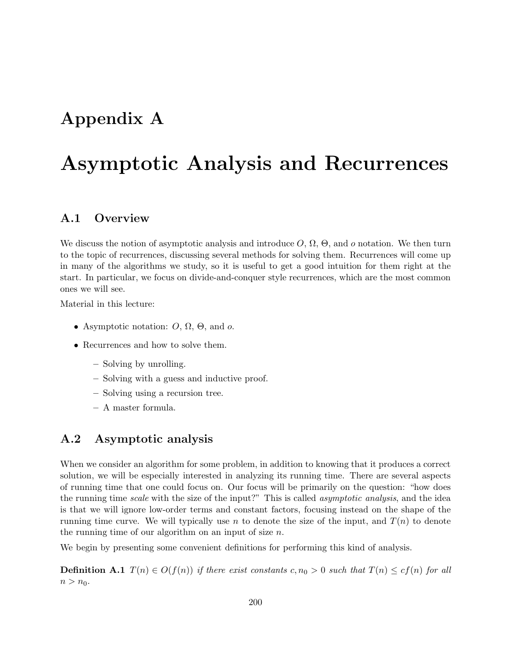## Appendix A

# Asymptotic Analysis and Recurrences

## A.1 Overview

We discuss the notion of asymptotic analysis and introduce  $O, \Omega, \Theta$ , and o notation. We then turn to the topic of recurrences, discussing several methods for solving them. Recurrences will come up in many of the algorithms we study, so it is useful to get a good intuition for them right at the start. In particular, we focus on divide-and-conquer style recurrences, which are the most common ones we will see.

Material in this lecture:

- Asymptotic notation:  $O$ ,  $\Omega$ ,  $\Theta$ , and  $o$ .
- Recurrences and how to solve them.
	- Solving by unrolling.
	- Solving with a guess and inductive proof.
	- Solving using a recursion tree.
	- A master formula.

## A.2 Asymptotic analysis

When we consider an algorithm for some problem, in addition to knowing that it produces a correct solution, we will be especially interested in analyzing its running time. There are several aspects of running time that one could focus on. Our focus will be primarily on the question: "how does the running time scale with the size of the input?" This is called *asymptotic analysis*, and the idea is that we will ignore low-order terms and constant factors, focusing instead on the shape of the running time curve. We will typically use n to denote the size of the input, and  $T(n)$  to denote the running time of our algorithm on an input of size  $n$ .

We begin by presenting some convenient definitions for performing this kind of analysis.

**Definition A.1**  $T(n) \in O(f(n))$  if there exist constants c,  $n_0 > 0$  such that  $T(n) \leq cf(n)$  for all  $n > n_0$ .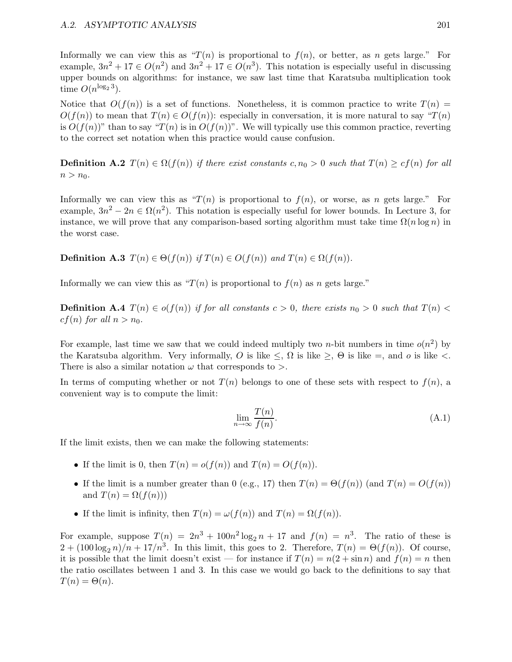Informally we can view this as " $T(n)$  is proportional to  $f(n)$ , or better, as n gets large." For example,  $3n^2 + 17 \in O(n^2)$  and  $3n^2 + 17 \in O(n^3)$ . This notation is especially useful in discussing upper bounds on algorithms: for instance, we saw last time that Karatsuba multiplication took time  $O(n^{\log_2 3})$ .

Notice that  $O(f(n))$  is a set of functions. Nonetheless, it is common practice to write  $T(n)$  $O(f(n))$  to mean that  $T(n) \in O(f(n))$ : especially in conversation, it is more natural to say " $T(n)$ " is  $O(f(n))$ " than to say " $T(n)$  is in  $O(f(n))$ ". We will typically use this common practice, reverting to the correct set notation when this practice would cause confusion.

**Definition A.2**  $T(n) \in \Omega(f(n))$  if there exist constants c,  $n_0 > 0$  such that  $T(n) \geq cf(n)$  for all  $n > n_0$ .

Informally we can view this as " $T(n)$  is proportional to  $f(n)$ , or worse, as n gets large." For example,  $3n^2 - 2n \in \Omega(n^2)$ . This notation is especially useful for lower bounds. In Lecture 3, for instance, we will prove that any comparison-based sorting algorithm must take time  $\Omega(n \log n)$  in the worst case.

**Definition A.3**  $T(n) \in \Theta(f(n))$  if  $T(n) \in O(f(n))$  and  $T(n) \in \Omega(f(n))$ .

Informally we can view this as " $T(n)$  is proportional to  $f(n)$  as n gets large."

**Definition A.4**  $T(n) \in o(f(n))$  if for all constants  $c > 0$ , there exists  $n_0 > 0$  such that  $T(n) <$  $cf(n)$  for all  $n > n_0$ .

For example, last time we saw that we could indeed multiply two *n*-bit numbers in time  $o(n^2)$  by the Karatsuba algorithm. Very informally, O is like  $\leq$ ,  $\Omega$  is like  $\geq$ ,  $\Theta$  is like  $\equiv$ , and o is like  $\lt$ . There is also a similar notation  $\omega$  that corresponds to  $\geq$ .

In terms of computing whether or not  $T(n)$  belongs to one of these sets with respect to  $f(n)$ , a convenient way is to compute the limit:

$$
\lim_{n \to \infty} \frac{T(n)}{f(n)}.\tag{A.1}
$$

If the limit exists, then we can make the following statements:

- If the limit is 0, then  $T(n) = o(f(n))$  and  $T(n) = O(f(n))$ .
- If the limit is a number greater than 0 (e.g., 17) then  $T(n) = \Theta(f(n))$  (and  $T(n) = O(f(n))$ ) and  $T(n) = \Omega(f(n))$
- If the limit is infinity, then  $T(n) = \omega(f(n))$  and  $T(n) = \Omega(f(n))$ .

For example, suppose  $T(n) = 2n^3 + 100n^2 \log_2 n + 17$  and  $f(n) = n^3$ . The ratio of these is  $2 + (100 \log_2 n)/n + 17/n^3$ . In this limit, this goes to 2. Therefore,  $T(n) = \Theta(f(n))$ . Of course, it is possible that the limit doesn't exist — for instance if  $T(n) = n(2 + \sin n)$  and  $f(n) = n$  then the ratio oscillates between 1 and 3. In this case we would go back to the definitions to say that  $T(n) = \Theta(n)$ .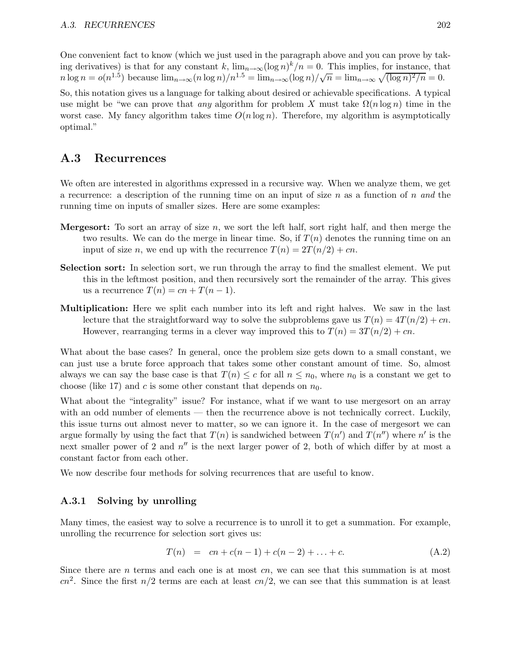One convenient fact to know (which we just used in the paragraph above and you can prove by taking derivatives) is that for any constant k,  $\lim_{n\to\infty} (\log n)^k/n = 0$ . This implies, for instance, that  $n \log n = o(n^{1.5})$  because  $\lim_{n \to \infty} (n \log n)/n^{1.5} = \lim_{n \to \infty} (\log n)/\sqrt{n} = \lim_{n \to \infty} \sqrt{(\log n)^2/n} = 0.$ 

So, this notation gives us a language for talking about desired or achievable specifications. A typical use might be "we can prove that any algorithm for problem X must take  $\Omega(n \log n)$  time in the worst case. My fancy algorithm takes time  $O(n \log n)$ . Therefore, my algorithm is asymptotically optimal."

### A.3 Recurrences

We often are interested in algorithms expressed in a recursive way. When we analyze them, we get a recurrence: a description of the running time on an input of size  $n$  as a function of  $n$  and the running time on inputs of smaller sizes. Here are some examples:

- **Mergesort:** To sort an array of size  $n$ , we sort the left half, sort right half, and then merge the two results. We can do the merge in linear time. So, if  $T(n)$  denotes the running time on an input of size n, we end up with the recurrence  $T(n) = 2T(n/2) + cn$ .
- Selection sort: In selection sort, we run through the array to find the smallest element. We put this in the leftmost position, and then recursively sort the remainder of the array. This gives us a recurrence  $T(n) = cn + T(n - 1)$ .
- Multiplication: Here we split each number into its left and right halves. We saw in the last lecture that the straightforward way to solve the subproblems gave us  $T(n) = 4T(n/2) + cn$ . However, rearranging terms in a clever way improved this to  $T(n) = 3T(n/2) + cn$ .

What about the base cases? In general, once the problem size gets down to a small constant, we can just use a brute force approach that takes some other constant amount of time. So, almost always we can say the base case is that  $T(n) \leq c$  for all  $n \leq n_0$ , where  $n_0$  is a constant we get to choose (like 17) and c is some other constant that depends on  $n_0$ .

What about the "integrality" issue? For instance, what if we want to use mergesort on an array with an odd number of elements — then the recurrence above is not technically correct. Luckily, this issue turns out almost never to matter, so we can ignore it. In the case of mergesort we can argue formally by using the fact that  $T(n)$  is sandwiched between  $T(n')$  and  $T(n'')$  where n' is the next smaller power of 2 and  $n''$  is the next larger power of 2, both of which differ by at most a constant factor from each other.

We now describe four methods for solving recurrences that are useful to know.

#### A.3.1 Solving by unrolling

Many times, the easiest way to solve a recurrence is to unroll it to get a summation. For example, unrolling the recurrence for selection sort gives us:

$$
T(n) = cn + c(n-1) + c(n-2) + \ldots + c.
$$
 (A.2)

Since there are  $n$  terms and each one is at most  $cn$ , we can see that this summation is at most  $cn^2$ . Since the first  $n/2$  terms are each at least  $cn/2$ , we can see that this summation is at least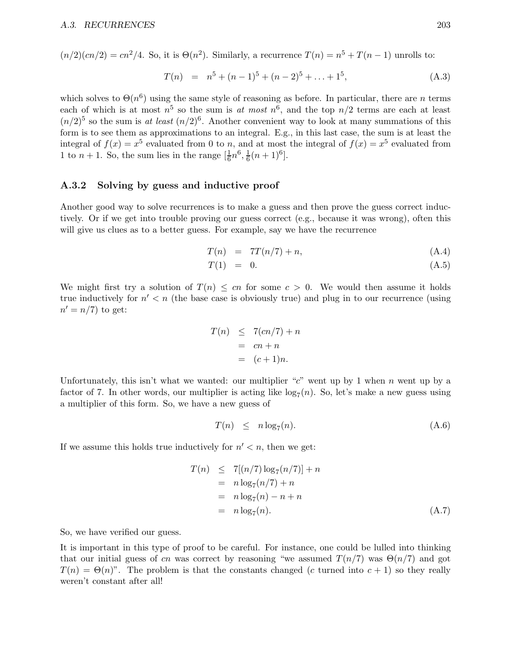$(n/2)(cn/2) = cn^2/4$ . So, it is  $\Theta(n^2)$ . Similarly, a recurrence  $T(n) = n^5 + T(n-1)$  unrolls to:

$$
T(n) = n5 + (n-1)5 + (n-2)5 + ... + 15,
$$
 (A.3)

which solves to  $\Theta(n^6)$  using the same style of reasoning as before. In particular, there are n terms each of which is at most  $n^5$  so the sum is at most  $n^6$ , and the top  $n/2$  terms are each at least  $(n/2)^5$  so the sum is at least  $(n/2)^6$ . Another convenient way to look at many summations of this form is to see them as approximations to an integral. E.g., in this last case, the sum is at least the integral of  $f(x) = x^5$  evaluated from 0 to n, and at most the integral of  $f(x) = x^5$  evaluated from 1 to  $n + 1$ . So, the sum lies in the range  $\left[\frac{1}{6}\right]$  $\frac{1}{6}n^6, \frac{1}{6}$  $\frac{1}{6}(n+1)^6$ .

#### A.3.2 Solving by guess and inductive proof

Another good way to solve recurrences is to make a guess and then prove the guess correct inductively. Or if we get into trouble proving our guess correct (e.g., because it was wrong), often this will give us clues as to a better guess. For example, say we have the recurrence

$$
T(n) = 7T(n/7) + n,\tag{A.4}
$$

$$
T(1) = 0. \tag{A.5}
$$

We might first try a solution of  $T(n) \le cn$  for some  $c > 0$ . We would then assume it holds true inductively for  $n' < n$  (the base case is obviously true) and plug in to our recurrence (using  $n' = n/7$  to get:

$$
T(n) \leq 7(cn/7) + n
$$

$$
= cn + n
$$

$$
= (c+1)n.
$$

Unfortunately, this isn't what we wanted: our multiplier " $c$ " went up by 1 when n went up by a factor of 7. In other words, our multiplier is acting like  $log_7(n)$ . So, let's make a new guess using a multiplier of this form. So, we have a new guess of

$$
T(n) \leq n \log_7(n). \tag{A.6}
$$

If we assume this holds true inductively for  $n' < n$ , then we get:

$$
T(n) \leq 7[(n/7)\log_7(n/7)] + n
$$
  
=  $n \log_7(n/7) + n$   
=  $n \log_7(n) - n + n$   
=  $n \log_7(n)$ . (A.7)

So, we have verified our guess.

It is important in this type of proof to be careful. For instance, one could be lulled into thinking that our initial guess of cn was correct by reasoning "we assumed  $T(n/7)$  was  $\Theta(n/7)$  and got  $T(n) = \Theta(n)$ ". The problem is that the constants changed (c turned into  $c + 1$ ) so they really weren't constant after all!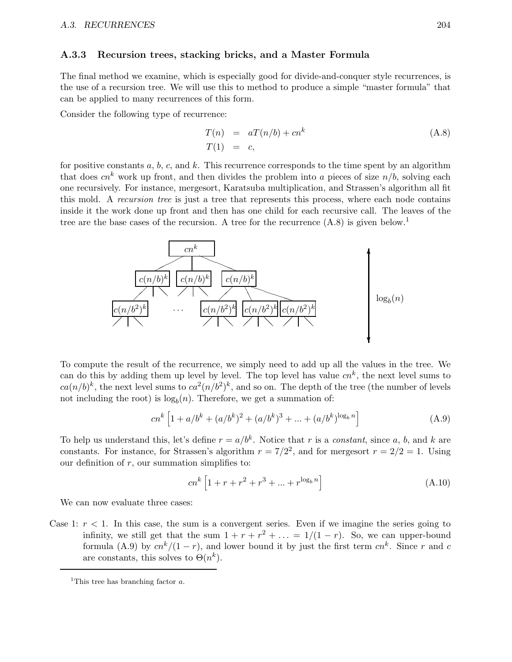#### A.3.3 Recursion trees, stacking bricks, and a Master Formula

The final method we examine, which is especially good for divide-and-conquer style recurrences, is the use of a recursion tree. We will use this to method to produce a simple "master formula" that can be applied to many recurrences of this form.

Consider the following type of recurrence:

$$
T(n) = aT(n/b) + cn^k
$$
  
\n
$$
T(1) = c,
$$
\n(A.8)

for positive constants  $a, b, c$ , and  $k$ . This recurrence corresponds to the time spent by an algorithm that does  $cn^k$  work up front, and then divides the problem into a pieces of size  $n/b$ , solving each one recursively. For instance, mergesort, Karatsuba multiplication, and Strassen's algorithm all fit this mold. A recursion tree is just a tree that represents this process, where each node contains inside it the work done up front and then has one child for each recursive call. The leaves of the tree are the base cases of the recursion. A tree for the recurrence  $(A.8)$  is given below.<sup>1</sup>



To compute the result of the recurrence, we simply need to add up all the values in the tree. We can do this by adding them up level by level. The top level has value  $cn^k$ , the next level sums to  $ca(n/b)^k$ , the next level sums to  $ca^2(n/b^2)^k$ , and so on. The depth of the tree (the number of levels not including the root) is  $\log_b(n)$ . Therefore, we get a summation of:

$$
cn^{k} \left[ 1 + a/b^{k} + (a/b^{k})^{2} + (a/b^{k})^{3} + \dots + (a/b^{k})^{\log_{b} n} \right]
$$
 (A.9)

To help us understand this, let's define  $r = a/b^k$ . Notice that r is a constant, since a, b, and k are constants. For instance, for Strassen's algorithm  $r = 7/2^2$ , and for mergesort  $r = 2/2 = 1$ . Using our definition of  $r$ , our summation simplifies to:

$$
cn^{k} \left[ 1 + r + r^{2} + r^{3} + \dots + r^{\log_{b} n} \right]
$$
 (A.10)

We can now evaluate three cases:

Case 1:  $r < 1$ . In this case, the sum is a convergent series. Even if we imagine the series going to infinity, we still get that the sum  $1 + r + r^2 + \ldots = 1/(1 - r)$ . So, we can upper-bound formula (A.9) by  $cn^{k}/(1-r)$ , and lower bound it by just the first term  $cn^{k}$ . Since r and c are constants, this solves to  $\Theta(n^k)$ .

<sup>&</sup>lt;sup>1</sup>This tree has branching factor  $a$ .